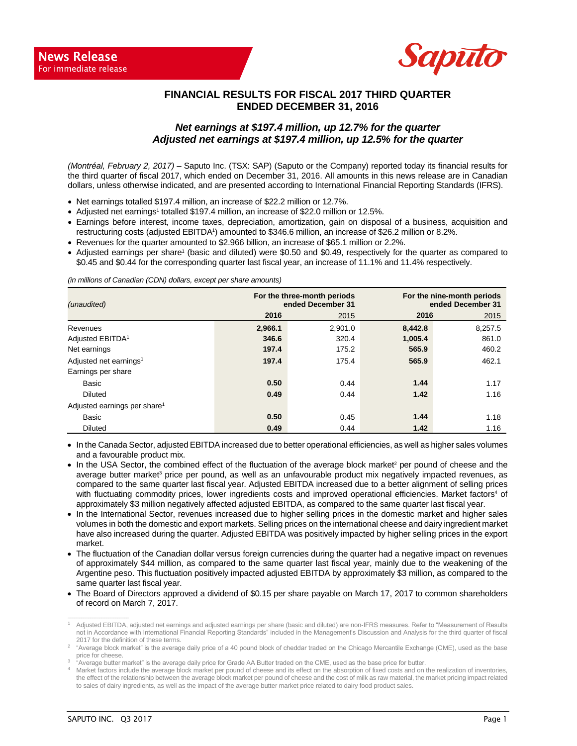

## **FINANCIAL RESULTS FOR FISCAL 2017 THIRD QUARTER ENDED DECEMBER 31, 2016**

## *Net earnings at \$197.4 million, up 12.7% for the quarter Adjusted net earnings at \$197.4 million, up 12.5% for the quarter*

*(Montréal, February 2, 2017) –* Saputo Inc. (TSX: SAP) (Saputo or the Company) reported today its financial results for the third quarter of fiscal 2017, which ended on December 31, 2016. All amounts in this news release are in Canadian dollars, unless otherwise indicated, and are presented according to International Financial Reporting Standards (IFRS).

- Net earnings totalled \$197.4 million, an increase of \$22.2 million or 12.7%.
- Adjusted net earnings<sup>1</sup> totalled \$197.4 million, an increase of \$22.0 million or 12.5%.
- Earnings before interest, income taxes, depreciation, amortization, gain on disposal of a business, acquisition and restructuring costs (adjusted EBITDA<sup>1</sup>) amounted to \$346.6 million, an increase of \$26.2 million or 8.2%.
- Revenues for the quarter amounted to \$2.966 billion, an increase of \$65.1 million or 2.2%.
- Adjusted earnings per share<sup>1</sup> (basic and diluted) were \$0.50 and \$0.49, respectively for the quarter as compared to \$0.45 and \$0.44 for the corresponding quarter last fiscal year, an increase of 11.1% and 11.4% respectively.

*(in millions of Canadian (CDN) dollars, except per share amounts)*

| (unaudited)                              |         | For the three-month periods<br>ended December 31 | For the nine-month periods<br>ended December 31 |         |  |  |
|------------------------------------------|---------|--------------------------------------------------|-------------------------------------------------|---------|--|--|
|                                          | 2016    | 2015                                             | 2016                                            | 2015    |  |  |
| Revenues                                 | 2,966.1 | 2.901.0                                          | 8,442.8                                         | 8,257.5 |  |  |
| Adjusted EBITDA <sup>1</sup>             | 346.6   | 320.4                                            | 1,005.4                                         | 861.0   |  |  |
| Net earnings                             | 197.4   | 175.2                                            | 565.9                                           | 460.2   |  |  |
| Adjusted net earnings <sup>1</sup>       | 197.4   | 175.4                                            | 565.9                                           | 462.1   |  |  |
| Earnings per share                       |         |                                                  |                                                 |         |  |  |
| Basic                                    | 0.50    | 0.44                                             | 1.44                                            | 1.17    |  |  |
| Diluted                                  | 0.49    | 0.44                                             | 1.42                                            | 1.16    |  |  |
| Adjusted earnings per share <sup>1</sup> |         |                                                  |                                                 |         |  |  |
| Basic                                    | 0.50    | 0.45                                             | 1.44                                            | 1.18    |  |  |
| <b>Diluted</b>                           | 0.49    | 0.44                                             | 1.42                                            | 1.16    |  |  |

 In the Canada Sector, adjusted EBITDA increased due to better operational efficiencies, as well as higher sales volumes and a favourable product mix.

- $\bullet$  In the USA Sector, the combined effect of the fluctuation of the average block market<sup>2</sup> per pound of cheese and the average butter market<sup>3</sup> price per pound, as well as an unfavourable product mix negatively impacted revenues, as compared to the same quarter last fiscal year. Adjusted EBITDA increased due to a better alignment of selling prices with fluctuating commodity prices, lower ingredients costs and improved operational efficiencies. Market factors<sup>4</sup> of approximately \$3 million negatively affected adjusted EBITDA, as compared to the same quarter last fiscal year.
- In the International Sector, revenues increased due to higher selling prices in the domestic market and higher sales volumes in both the domestic and export markets. Selling prices on the international cheese and dairy ingredient market have also increased during the quarter. Adjusted EBITDA was positively impacted by higher selling prices in the export market.
- The fluctuation of the Canadian dollar versus foreign currencies during the quarter had a negative impact on revenues of approximately \$44 million, as compared to the same quarter last fiscal year, mainly due to the weakening of the Argentine peso. This fluctuation positively impacted adjusted EBITDA by approximately \$3 million, as compared to the same quarter last fiscal year.
- The Board of Directors approved a dividend of \$0.15 per share payable on March 17, 2017 to common shareholders of record on March 7, 2017.

**\_\_\_\_\_\_\_\_\_\_\_\_\_\_\_\_\_\_\_\_\_\_\_\_\_\_\_**

<sup>1</sup> Adjusted EBITDA, adjusted net earnings and adjusted earnings per share (basic and diluted) are non-IFRS measures. Refer to "Measurement of Results not in Accordance with International Financial Reporting Standards" included in the Management's Discussion and Analysis for the third quarter of fiscal 2017 for the definition of these terms.

<sup>&</sup>quot;Average block market" is the average daily price of a 40 pound block of cheddar traded on the Chicago Mercantile Exchange (CME), used as the base price for cheese.

<sup>3</sup> "Average butter market" is the average daily price for Grade AA Butter traded on the CME, used as the base price for butter.

Market factors include the average block market per pound of cheese and its effect on the absorption of fixed costs and on the realization of inventories, the effect of the relationship between the average block market per pound of cheese and the cost of milk as raw material, the market pricing impact related to sales of dairy ingredients, as well as the impact of the average butter market price related to dairy food product sales.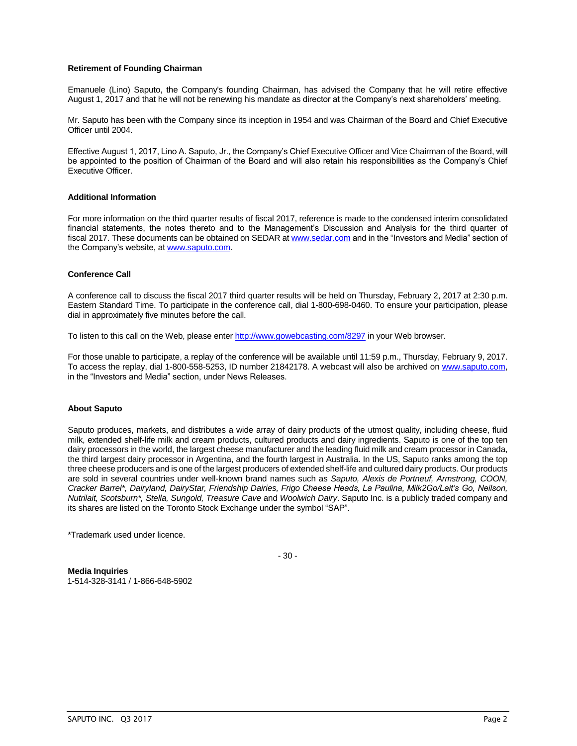### **Retirement of Founding Chairman**

Emanuele (Lino) Saputo, the Company's founding Chairman, has advised the Company that he will retire effective August 1, 2017 and that he will not be renewing his mandate as director at the Company's next shareholders' meeting.

Mr. Saputo has been with the Company since its inception in 1954 and was Chairman of the Board and Chief Executive Officer until 2004.

Effective August 1, 2017, Lino A. Saputo, Jr., the Company's Chief Executive Officer and Vice Chairman of the Board, will be appointed to the position of Chairman of the Board and will also retain his responsibilities as the Company's Chief Executive Officer.

### **Additional Information**

For more information on the third quarter results of fiscal 2017, reference is made to the condensed interim consolidated financial statements, the notes thereto and to the Management's Discussion and Analysis for the third quarter of fiscal 2017. These documents can be obtained on SEDAR a[t www.sedar.com](http://www.sedar.com/) and in the "Investors and Media" section of the Company's website, a[t www.saputo.com.](http://www.saputo.com/)

### **Conference Call**

A conference call to discuss the fiscal 2017 third quarter results will be held on Thursday, February 2, 2017 at 2:30 p.m. Eastern Standard Time. To participate in the conference call, dial 1-800-698-0460. To ensure your participation, please dial in approximately five minutes before the call.

To listen to this call on the Web, please ente[r http://www.gowebcasting.com/8297](http://www.gowebcasting.com/8297) in your Web browser.

For those unable to participate, a replay of the conference will be available until 11:59 p.m., Thursday, February 9, 2017. To access the replay, dial 1-800-558-5253, ID number 21842178. A webcast will also be archived on [www.saputo.com,](http://www.saputo.com/) in the "Investors and Media" section, under News Releases.

### **About Saputo**

Saputo produces, markets, and distributes a wide array of dairy products of the utmost quality, including cheese, fluid milk, extended shelf-life milk and cream products, cultured products and dairy ingredients. Saputo is one of the top ten dairy processors in the world, the largest cheese manufacturer and the leading fluid milk and cream processor in Canada, the third largest dairy processor in Argentina, and the fourth largest in Australia. In the US, Saputo ranks among the top three cheese producers and is one of the largest producers of extended shelf-life and cultured dairy products. Our products are sold in several countries under well-known brand names such as *Saputo, Alexis de Portneuf, Armstrong, COON, Cracker Barrel\*, Dairyland, DairyStar, Friendship Dairies, Frigo Cheese Heads, La Paulina, Milk2Go/Lait's Go, Neilson, Nutrilait, Scotsburn\*, Stella, Sungold, Treasure Cave* and *Woolwich Dairy*. Saputo Inc. is a publicly traded company and its shares are listed on the Toronto Stock Exchange under the symbol "SAP".

\*Trademark used under licence.

- 30 -

**Media Inquiries**

1-514-328-3141 / 1-866-648-5902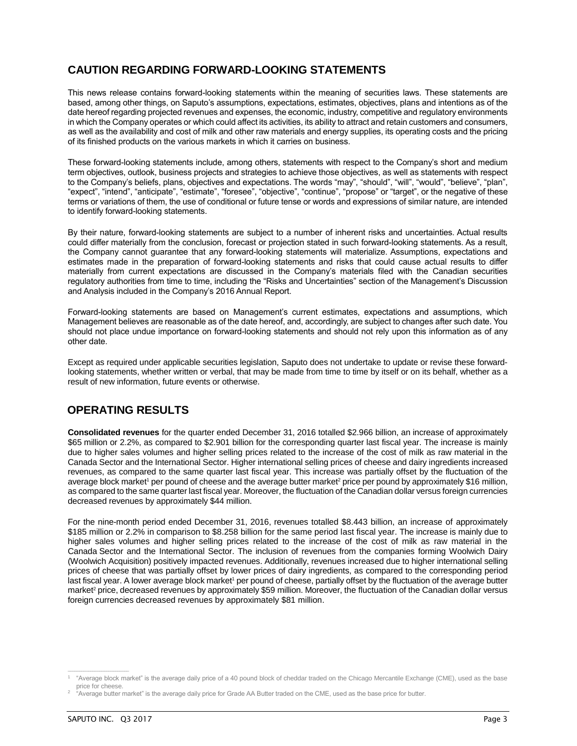# **CAUTION REGARDING FORWARD-LOOKING STATEMENTS**

This news release contains forward-looking statements within the meaning of securities laws. These statements are based, among other things, on Saputo's assumptions, expectations, estimates, objectives, plans and intentions as of the date hereof regarding projected revenues and expenses, the economic, industry, competitive and regulatory environments in which the Company operates or which could affect its activities, its ability to attract and retain customers and consumers, as well as the availability and cost of milk and other raw materials and energy supplies, its operating costs and the pricing of its finished products on the various markets in which it carries on business.

These forward-looking statements include, among others, statements with respect to the Company's short and medium term objectives, outlook, business projects and strategies to achieve those objectives, as well as statements with respect to the Company's beliefs, plans, objectives and expectations. The words "may", "should", "will", "would", "believe", "plan", "expect", "intend", "anticipate", "estimate", "foresee", "objective", "continue", "propose" or "target", or the negative of these terms or variations of them, the use of conditional or future tense or words and expressions of similar nature, are intended to identify forward-looking statements.

By their nature, forward-looking statements are subject to a number of inherent risks and uncertainties. Actual results could differ materially from the conclusion, forecast or projection stated in such forward-looking statements. As a result, the Company cannot guarantee that any forward-looking statements will materialize. Assumptions, expectations and estimates made in the preparation of forward-looking statements and risks that could cause actual results to differ materially from current expectations are discussed in the Company's materials filed with the Canadian securities regulatory authorities from time to time, including the "Risks and Uncertainties" section of the Management's Discussion and Analysis included in the Company's 2016 Annual Report.

Forward-looking statements are based on Management's current estimates, expectations and assumptions, which Management believes are reasonable as of the date hereof, and, accordingly, are subject to changes after such date. You should not place undue importance on forward-looking statements and should not rely upon this information as of any other date.

Except as required under applicable securities legislation, Saputo does not undertake to update or revise these forwardlooking statements, whether written or verbal, that may be made from time to time by itself or on its behalf, whether as a result of new information, future events or otherwise.

# **OPERATING RESULTS**

**Consolidated revenues** for the quarter ended December 31, 2016 totalled \$2.966 billion, an increase of approximately \$65 million or 2.2%, as compared to \$2.901 billion for the corresponding quarter last fiscal year. The increase is mainly due to higher sales volumes and higher selling prices related to the increase of the cost of milk as raw material in the Canada Sector and the International Sector. Higher international selling prices of cheese and dairy ingredients increased revenues, as compared to the same quarter last fiscal year. This increase was partially offset by the fluctuation of the average block market<sup>1</sup> per pound of cheese and the average butter market<sup>2</sup> price per pound by approximately \$16 million, as compared to the same quarter last fiscal year. Moreover, the fluctuation of the Canadian dollar versus foreign currencies decreased revenues by approximately \$44 million.

For the nine-month period ended December 31, 2016, revenues totalled \$8.443 billion, an increase of approximately \$185 million or 2.2% in comparison to \$8.258 billion for the same period last fiscal year. The increase is mainly due to higher sales volumes and higher selling prices related to the increase of the cost of milk as raw material in the Canada Sector and the International Sector. The inclusion of revenues from the companies forming Woolwich Dairy (Woolwich Acquisition) positively impacted revenues. Additionally, revenues increased due to higher international selling prices of cheese that was partially offset by lower prices of dairy ingredients, as compared to the corresponding period last fiscal year. A lower average block market<sup>1</sup> per pound of cheese, partially offset by the fluctuation of the average butter market<sup>2</sup> price, decreased revenues by approximately \$59 million. Moreover, the fluctuation of the Canadian dollar versus foreign currencies decreased revenues by approximately \$81 million.

**\_\_\_\_\_\_\_\_\_\_\_\_\_\_\_\_\_\_\_\_\_\_\_\_\_\_\_**

<sup>1</sup> "Average block market" is the average daily price of a 40 pound block of cheddar traded on the Chicago Mercantile Exchange (CME), used as the base price for cheese.

<sup>&</sup>quot;Average butter market" is the average daily price for Grade AA Butter traded on the CME, used as the base price for butter.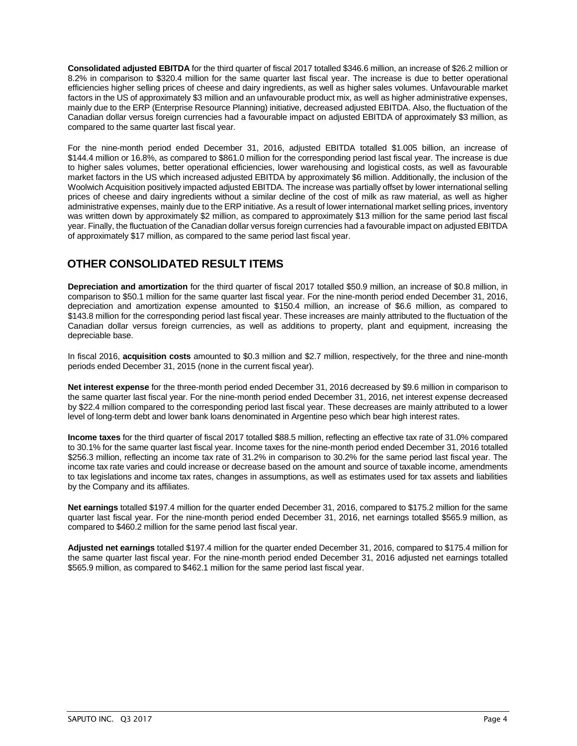**Consolidated adjusted EBITDA** for the third quarter of fiscal 2017 totalled \$346.6 million, an increase of \$26.2 million or 8.2% in comparison to \$320.4 million for the same quarter last fiscal year. The increase is due to better operational efficiencies higher selling prices of cheese and dairy ingredients, as well as higher sales volumes. Unfavourable market factors in the US of approximately \$3 million and an unfavourable product mix, as well as higher administrative expenses, mainly due to the ERP (Enterprise Resource Planning) initiative, decreased adjusted EBITDA. Also, the fluctuation of the Canadian dollar versus foreign currencies had a favourable impact on adjusted EBITDA of approximately \$3 million, as compared to the same quarter last fiscal year.

For the nine-month period ended December 31, 2016, adjusted EBITDA totalled \$1.005 billion, an increase of \$144.4 million or 16.8%, as compared to \$861.0 million for the corresponding period last fiscal year. The increase is due to higher sales volumes, better operational efficiencies, lower warehousing and logistical costs, as well as favourable market factors in the US which increased adjusted EBITDA by approximately \$6 million. Additionally, the inclusion of the Woolwich Acquisition positively impacted adjusted EBITDA. The increase was partially offset by lower international selling prices of cheese and dairy ingredients without a similar decline of the cost of milk as raw material, as well as higher administrative expenses, mainly due to the ERP initiative. As a result of lower international market selling prices, inventory was written down by approximately \$2 million, as compared to approximately \$13 million for the same period last fiscal year. Finally, the fluctuation of the Canadian dollar versus foreign currencies had a favourable impact on adjusted EBITDA of approximately \$17 million, as compared to the same period last fiscal year.

# **OTHER CONSOLIDATED RESULT ITEMS**

**Depreciation and amortization** for the third quarter of fiscal 2017 totalled \$50.9 million, an increase of \$0.8 million, in comparison to \$50.1 million for the same quarter last fiscal year. For the nine-month period ended December 31, 2016, depreciation and amortization expense amounted to \$150.4 million, an increase of \$6.6 million, as compared to \$143.8 million for the corresponding period last fiscal year. These increases are mainly attributed to the fluctuation of the Canadian dollar versus foreign currencies, as well as additions to property, plant and equipment, increasing the depreciable base.

In fiscal 2016, **acquisition costs** amounted to \$0.3 million and \$2.7 million, respectively, for the three and nine-month periods ended December 31, 2015 (none in the current fiscal year).

**Net interest expense** for the three-month period ended December 31, 2016 decreased by \$9.6 million in comparison to the same quarter last fiscal year. For the nine-month period ended December 31, 2016, net interest expense decreased by \$22.4 million compared to the corresponding period last fiscal year. These decreases are mainly attributed to a lower level of long-term debt and lower bank loans denominated in Argentine peso which bear high interest rates.

**Income taxes** for the third quarter of fiscal 2017 totalled \$88.5 million, reflecting an effective tax rate of 31.0% compared to 30.1% for the same quarter last fiscal year. Income taxes for the nine-month period ended December 31, 2016 totalled \$256.3 million, reflecting an income tax rate of 31.2% in comparison to 30.2% for the same period last fiscal year. The income tax rate varies and could increase or decrease based on the amount and source of taxable income, amendments to tax legislations and income tax rates, changes in assumptions, as well as estimates used for tax assets and liabilities by the Company and its affiliates.

**Net earnings** totalled \$197.4 million for the quarter ended December 31, 2016, compared to \$175.2 million for the same quarter last fiscal year. For the nine-month period ended December 31, 2016, net earnings totalled \$565.9 million, as compared to \$460.2 million for the same period last fiscal year.

**Adjusted net earnings** totalled \$197.4 million for the quarter ended December 31, 2016, compared to \$175.4 million for the same quarter last fiscal year. For the nine-month period ended December 31, 2016 adjusted net earnings totalled \$565.9 million, as compared to \$462.1 million for the same period last fiscal year.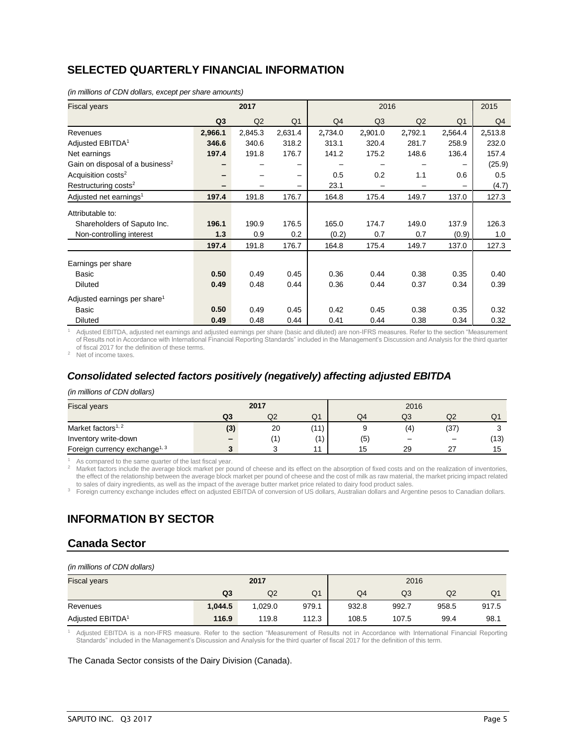# **SELECTED QUARTERLY FINANCIAL INFORMATION**

*(in millions of CDN dollars, except per share amounts)*

| <b>Fiscal years</b>                         |                | 2017    |                |                | 2016           |         |                | 2015    |
|---------------------------------------------|----------------|---------|----------------|----------------|----------------|---------|----------------|---------|
|                                             | Q <sub>3</sub> | Q2      | Q <sub>1</sub> | Q <sub>4</sub> | Q <sub>3</sub> | Q2      | Q <sub>1</sub> | Q4      |
| Revenues                                    | 2,966.1        | 2,845.3 | 2,631.4        | 2,734.0        | 2,901.0        | 2,792.1 | 2,564.4        | 2,513.8 |
| Adjusted EBITDA <sup>1</sup>                | 346.6          | 340.6   | 318.2          | 313.1          | 320.4          | 281.7   | 258.9          | 232.0   |
| Net earnings                                | 197.4          | 191.8   | 176.7          | 141.2          | 175.2          | 148.6   | 136.4          | 157.4   |
| Gain on disposal of a business <sup>2</sup> |                |         |                |                |                |         |                | (25.9)  |
| Acquisition costs <sup>2</sup>              | -              |         |                | 0.5            | 0.2            | 1.1     | 0.6            | 0.5     |
| Restructuring costs <sup>2</sup>            | -              |         |                | 23.1           |                |         |                | (4.7)   |
| Adjusted net earnings <sup>1</sup>          | 197.4          | 191.8   | 176.7          | 164.8          | 175.4          | 149.7   | 137.0          | 127.3   |
| Attributable to:                            |                |         |                |                |                |         |                |         |
| Shareholders of Saputo Inc.                 | 196.1          | 190.9   | 176.5          | 165.0          | 174.7          | 149.0   | 137.9          | 126.3   |
| Non-controlling interest                    | 1.3            | 0.9     | 0.2            | (0.2)          | 0.7            | 0.7     | (0.9)          | 1.0     |
|                                             | 197.4          | 191.8   | 176.7          | 164.8          | 175.4          | 149.7   | 137.0          | 127.3   |
| Earnings per share                          |                |         |                |                |                |         |                |         |
| Basic                                       | 0.50           | 0.49    | 0.45           | 0.36           | 0.44           | 0.38    | 0.35           | 0.40    |
| <b>Diluted</b>                              | 0.49           | 0.48    | 0.44           | 0.36           | 0.44           | 0.37    | 0.34           | 0.39    |
| Adjusted earnings per share <sup>1</sup>    |                |         |                |                |                |         |                |         |
| Basic                                       | 0.50           | 0.49    | 0.45           | 0.42           | 0.45           | 0.38    | 0.35           | 0.32    |
| <b>Diluted</b>                              | 0.49           | 0.48    | 0.44           | 0.41           | 0.44           | 0.38    | 0.34           | 0.32    |

<sup>1</sup> Adjusted EBITDA, adjusted net earnings and adjusted earnings per share (basic and diluted) are non-IFRS measures. Refer to the section "Measurement of Results not in Accordance with International Financial Reporting Standards" included in the Management's Discussion and Analysis for the third quarter of fiscal 2017 for the definition of these terms.

<sup>2</sup> Net of income taxes.

## *Consolidated selected factors positively (negatively) affecting adjusted EBITDA*

### *(in millions of CDN dollars)*

| <b>Fiscal years</b>                       | 2017                     |    |      |     |                |      |      |
|-------------------------------------------|--------------------------|----|------|-----|----------------|------|------|
|                                           | Q3                       | Q2 | Q1   | Q4  | Q <sub>3</sub> | Q2   | Q    |
| Market factors <sup>1, 2</sup>            | (3)                      | 20 | (11) |     | (4)            | (37) |      |
| Inventory write-down                      | $\overline{\phantom{0}}$ |    |      | (5) |                |      | (13) |
| Foreign currency exchange <sup>1, 3</sup> |                          |    | 11   | 15  | 29             | 27   | 15   |

<sup>1</sup> As compared to the same quarter of the last fiscal year.

<sup>2</sup> Market factors include the average block market per pound of cheese and its effect on the absorption of fixed costs and on the realization of inventories, the effect of the relationship between the average block market per pound of cheese and the cost of milk as raw material, the market pricing impact related

to sales of dairy ingredients, as well as the impact of the average butter market price related to dairy food product sales.<br><sup>3</sup> Foreign currency exchange includes effect on adjusted EBITDA of conversion of US dollars, Aus

## **INFORMATION BY SECTOR**

## **Canada Sector**

#### *(in millions of CDN dollars)*

| <b>Fiscal years</b>          | 2017    |         |       |       |       |       |       |
|------------------------------|---------|---------|-------|-------|-------|-------|-------|
|                              | Q3      | Q2      | Q1    | Q4    | Q3    | Q2    | Q1    |
| Revenues                     | 1,044.5 | 0.029.0 | 979.1 | 932.8 | 992.7 | 958.5 | 917.5 |
| Adjusted EBITDA <sup>1</sup> | 116.9   | 119.8   | 112.3 | 108.5 | 107.5 | 99.4  | 98.1  |

<sup>1</sup> Adjusted EBITDA is a non-IFRS measure. Refer to the section "Measurement of Results not in Accordance with International Financial Reporting Standards" included in the Management's Discussion and Analysis for the third quarter of fiscal 2017 for the definition of this term.

#### The Canada Sector consists of the Dairy Division (Canada).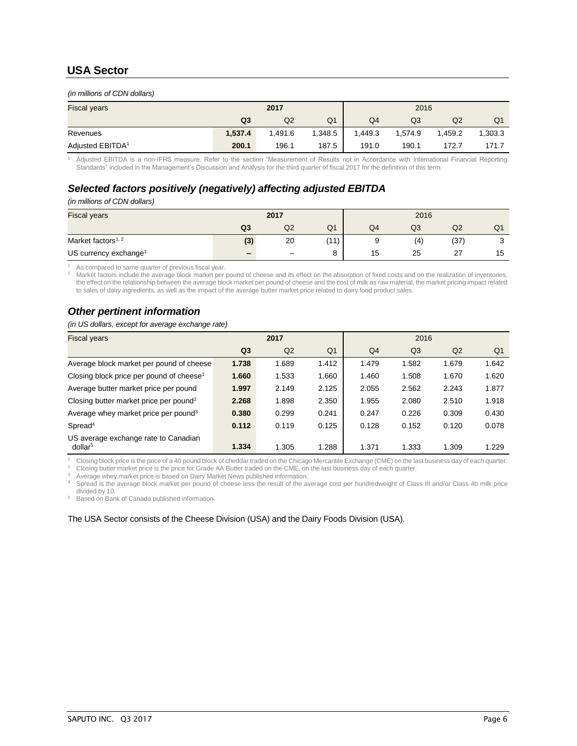# **USA Sector**

### *(in millions of CDN dollars)*

| <b>Fiscal years</b>          | 2017           |         |                | 2016           |         |                |         |
|------------------------------|----------------|---------|----------------|----------------|---------|----------------|---------|
|                              | Q <sub>3</sub> | Q2      | Q <sub>1</sub> | Q <sub>4</sub> | Q3      | Q <sub>2</sub> | Q1      |
| Revenues                     | 1,537.4        | 1,491.6 | 1,348.5        | 1.449.3        | 1,574.9 | 1.459.2        | 1,303.3 |
| Adjusted EBITDA <sup>1</sup> | 200.1          | 196.1   | 187.5          | 191.0          | 190.1   | 172.7          | 171.7   |

<sup>1</sup> Adjusted EBITDA is a non-IFRS measure. Refer to the section "Measurement of Results not in Accordance with International Financial Reporting Standards" included in the Management's Discussion and Analysis for the third quarter of fiscal 2017 for the definition of this term.

## *Selected factors positively (negatively) affecting adjusted EBITDA*

*(in millions of CDN dollars)* 

| <b>Fiscal years</b>               | 2017           |    |                | 2016 |                |      |    |
|-----------------------------------|----------------|----|----------------|------|----------------|------|----|
|                                   | Q <sub>3</sub> | Q2 | Q <sub>1</sub> | Q4   | Q <sub>3</sub> | Q2   | Q  |
| Market factors <sup>1, 2</sup>    | (3)            | 20 | (11)           |      | (4)            | (37) |    |
| US currency exchange <sup>1</sup> | -              | -  | $\Omega$<br>o  | 15   | 25             | 27   | 15 |

<sup>1</sup> As compared to same quarter of previous fiscal year.<br> $\frac{2}{3}$  Market forters include the everage block market per us

Market factors include the average block market per pound of cheese and its effect on the absorption of fixed costs and on the realization of inventories, the effect on the relationship between the average block market per pound of cheese and the cost of milk as raw material, the market pricing impact related to sales of dairy ingredients, as well as the impact of the average butter market price related to dairy food product sales.

## *Other pertinent information*

### *(in US dollars, except for average exchange rate)*

| <b>Fiscal years</b>                                         | 2017           |                |                |                |                |       |                |
|-------------------------------------------------------------|----------------|----------------|----------------|----------------|----------------|-------|----------------|
|                                                             | Q <sub>3</sub> | Q <sub>2</sub> | Q <sub>1</sub> | Q <sub>4</sub> | Q <sub>3</sub> | Q2    | Q <sub>1</sub> |
| Average block market per pound of cheese                    | 1.738          | 1.689          | 1.412          | 1.479          | 1.582          | 1.679 | 1.642          |
| Closing block price per pound of cheese <sup>1</sup>        | 1.660          | 1.533          | 1.660          | 1.460          | 1.508          | 1.670 | 1.620          |
| Average butter market price per pound                       | 1.997          | 2.149          | 2.125          | 2.055          | 2.562          | 2.243 | 1.877          |
| Closing butter market price per pound <sup>2</sup>          | 2.268          | 1.898          | 2.350          | 1.955          | 2.080          | 2.510 | 1.918          |
| Average whey market price per pound <sup>3</sup>            | 0.380          | 0.299          | 0.241          | 0.247          | 0.226          | 0.309 | 0.430          |
| $S$ pread <sup>4</sup>                                      | 0.112          | 0.119          | 0.125          | 0.128          | 0.152          | 0.120 | 0.078          |
| US average exchange rate to Canadian<br>dollar <sup>5</sup> | 1.334          | 1.305          | 1.288          | 1.371          | 1.333          | 1.309 | 1.229          |

<sup>1</sup> Closing block price is the price of a 40 pound block of cheddar traded on the Chicago Mercantile Exchange (CME) on the last business day of each quarter.

 $2^2$  Closing butter market price is the price for Grade AA Butter traded on the CME, on the last business day of each quarter.

<sup>3</sup> Average whey market price is based on Dairy Market News published information.

Spread is the average block market per pound of cheese less the result of the average cost per hundredweight of Class III and/or Class 4b milk price divided by 10.

<sup>5</sup> Based on Bank of Canada published information.

## The USA Sector consists of the Cheese Division (USA) and the Dairy Foods Division (USA).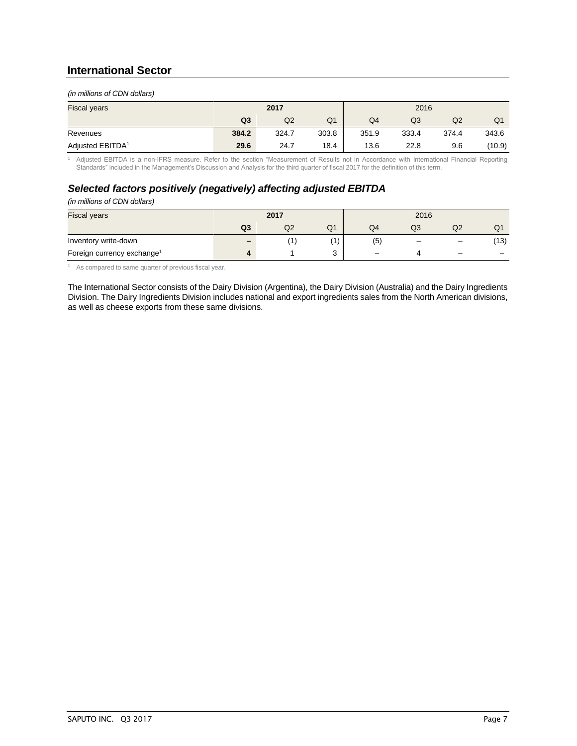# **International Sector**

## *(in millions of CDN dollars)*

| <b>Fiscal years</b>          | 2017           |       |                | 2016  |       |                |        |
|------------------------------|----------------|-------|----------------|-------|-------|----------------|--------|
|                              | Q <sub>3</sub> | Q2    | Q <sub>1</sub> | Q4    | Q3    | Q <sub>2</sub> | Q1     |
| Revenues                     | 384.2          | 324.7 | 303.8          | 351.9 | 333.4 | 374.4          | 343.6  |
| Adjusted EBITDA <sup>1</sup> | 29.6           | 24.7  | 18.4           | 13.6  | 22.8  | 9.6            | (10.9) |

<sup>1</sup> Adjusted EBITDA is a non-IFRS measure. Refer to the section "Measurement of Results not in Accordance with International Financial Reporting Standards" included in the Management's Discussion and Analysis for the third quarter of fiscal 2017 for the definition of this term.

## *Selected factors positively (negatively) affecting adjusted EBITDA*

*(in millions of CDN dollars)* 

| <b>Fiscal years</b>                    | 2017           |    |                | 2016 |    |                          |      |
|----------------------------------------|----------------|----|----------------|------|----|--------------------------|------|
|                                        | Q <sub>3</sub> | Q2 | Q <sub>1</sub> | Q4   | Q3 | Q2                       |      |
| Inventory write-down                   | -              |    |                | (5)  |    | $\overline{\phantom{0}}$ | (13) |
| Foreign currency exchange <sup>1</sup> |                |    | ົ<br>w         |      |    |                          | -    |

<sup>1</sup> As compared to same quarter of previous fiscal year.

The International Sector consists of the Dairy Division (Argentina), the Dairy Division (Australia) and the Dairy Ingredients Division. The Dairy Ingredients Division includes national and export ingredients sales from the North American divisions, as well as cheese exports from these same divisions.